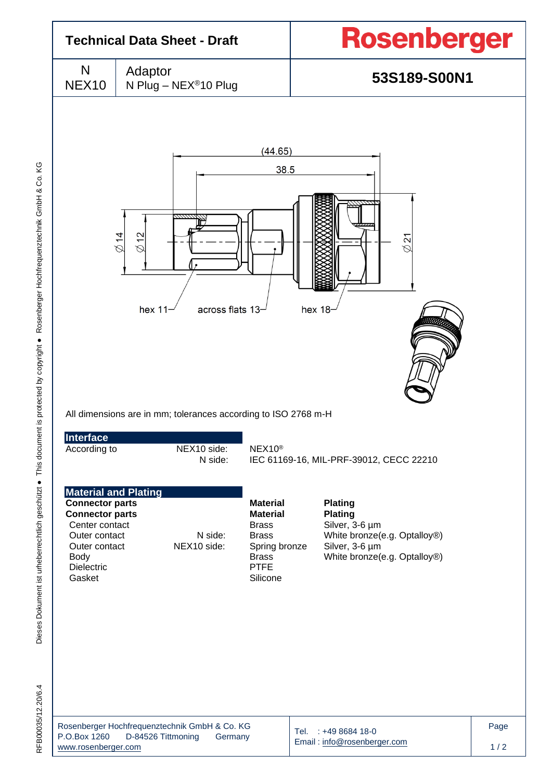